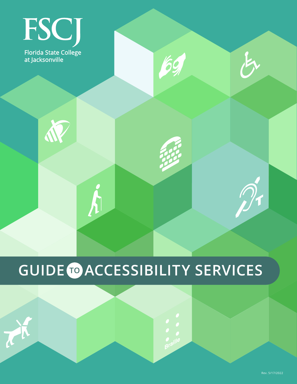## FSCJ **Florida State College** at Jacksonville

N

TH

 $\boldsymbol{\acute{h}}$ 

# **GUIDE TO ACCESSIBILITY SERVICES**

 $\begin{array}{c}\n\bullet \\
\bullet \\
\bullet \\
\bullet \\
\text{praille}\n\end{array}$ 

69

长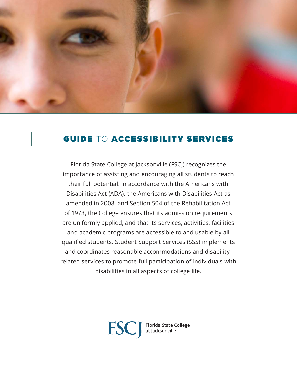

## GUIDE TO ACCESSIBILITY SERVICES

Florida State College at Jacksonville (FSCJ) recognizes the importance of assisting and encouraging all students to reach their full potential. In accordance with the Americans with Disabilities Act (ADA), the Americans with Disabilities Act as amended in 2008, and Section 504 of the Rehabilitation Act of 1973, the College ensures that its admission requirements are uniformly applied, and that its services, activities, facilities and academic programs are accessible to and usable by all qualified students. Student Support Services (SSS) implements and coordinates reasonable accommodations and disabilityrelated services to promote full participation of individuals with disabilities in all aspects of college life.

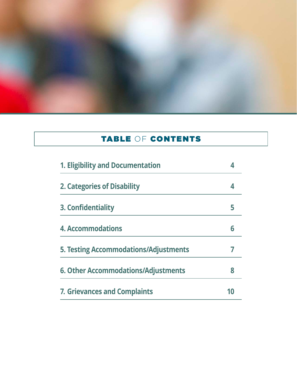

## TABLE OF CONTENTS

| 1. Eligibility and Documentation      |  |
|---------------------------------------|--|
| 2. Categories of Disability           |  |
| 3. Confidentiality                    |  |
| <b>4. Accommodations</b>              |  |
| 5. Testing Accommodations/Adjustments |  |
| 6. Other Accommodations/Adjustments   |  |
| <b>7. Grievances and Complaints</b>   |  |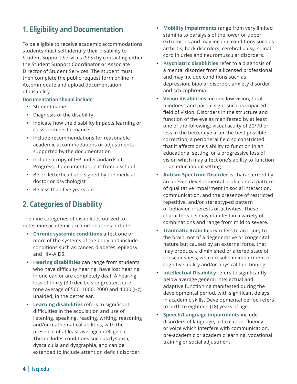## **1. Eligibility and Documentation**

To be eligible to receive academic accommodations, students must self-identify their disability to Student Support Services (SSS) by contacting either the Student Support Coordinator or Associate Director of Student Services. The student must then complete the public request form online in Accommodate and upload documentation of disability.

#### **Documentation should include:**

- Student name
- Diagnosis of the disability
- Indicate how the disability impacts learning or classroom performance
- Include recommendations for reasonable academic accommodations or adjustments supported by the documentation
- Include a copy of IEP and Standards of Progress, if documentation is from a school
- Be on letterhead and signed by the medical doctor or psychologist
- Be less than five years old

## **2. Categories of Disability**

The nine categories of disabilities utilized to determine academic accommodations include:

- y **Chronic systemic conditions** affect one or more of the systems of the body and include conditions such as cancer, diabetes, epilepsy and HIV-AIDS.
- **Hearing disabilities** can range from students who have difficulty hearing, have lost hearing in one ear, or are completely deaf. A hearing loss of thirty (30) decibels or greater, pure tone average of 500, 1000, 2000 and 4000 (Hz), unaided, in the better ear.
- y **Learning disabilities** refers to significant difficulties in the acquisition and use of listening, speaking, reading, writing, reasoning and/or mathematical abilities, with the presence of at least average intelligence. This includes conditions such as dyslexia, dyscalculia and dysgraphia, and can be extended to include attention deficit disorder.
- **Mobility impairments** range from very limited stamina to paralysis of the lower or upper extremities and may include conditions such as arthritis, back disorders, cerebral palsy, spinal cord injuries and neuromuscular disorders.
- **Psychiatric disabilities** refer to a diagnosis of a mental disorder from a licensed professional and may include conditions such as depression, bipolar disorder, anxiety disorder and schizophrenia.
- **Vision disabilities** include low vision, total blindness and partial sight such as impaired field of vision. Disorders in the structure and function of the eye as manifested by at least one of the following: visual acuity of 20/70 or less in the better eye after the best possible correction, a peripheral field so constricted that it affects one's ability to function in an educational setting, or a progressive loss of vision which may affect one's ability to function in an educational setting.
- y **Autism Spectrum Disorder** is characterized by an uneven developmental profile and a pattern of qualitative impairment in social interaction, communication, and the presence of restricted repetitive, and/or stereotyped pattern of behavior, interests or activities. These characteristics may manifest in a variety of combinations and range from mild to severe.
- **Traumatic Brain** Injury refers to an injury to the brain, not of a degenerative or congenital nature but caused by an external force, that may produce a diminished or altered state of consciousness, which results in impairment of cognitive ability and/or physical functioning.
- **Intellectual Disability** refers to significantly below average general intellectual and adaptive functioning manifested during the developmental period, with significant delays in academic skills. Developmental period refers to birth to eighteen (18) years of age.
- y **Speech/Language impairments** include disorders of language, articulation, fluency or voice which interfere with communication, pre-academic or academic learning, vocational training or social adjustment.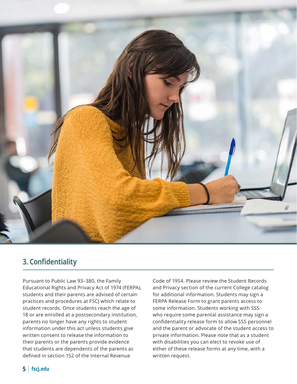

## **3. Confidentiality**

Pursuant to Public Law 93–380, the Family Educational Rights and Privacy Act of 1974 (FERPA), students and their parents are advised of certain practices and procedures at FSCJ which relate to student records. Once students reach the age of 18 or are enrolled at a postsecondary institution, parents no longer have any rights to student information under this act unless students give written consent to release the information to their parents or the parents provide evidence that students are dependents of the parents as defined in section 152 of the Internal Revenue

Code of 1954. Please review the Student Records and Privacy section of the current College catalog for additional information. Students may sign a FERPA Release Form to grant parents access to some information. Students working with SSS who require some parental assistance may sign a confidentiality release form to allow SSS personnel and the parent or advocate of the student access to private information. Please note that as a student with disabilities you can elect to revoke use of either of these release forms at any time, with a written request.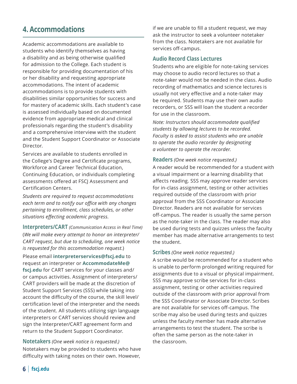## **4. Accommodations**

Academic accommodations are available to students who identify themselves as having a disability and as being otherwise qualified for admission to the College. Each student is responsible for providing documentation of his or her disability and requesting appropriate accommodations. The intent of academic accommodations is to provide students with disabilities similar opportunities for success and for mastery of academic skills. Each student's case is assessed individually based on documented evidence from appropriate medical and clinical professionals regarding the student's disability and a comprehensive interview with the student and the Student Support Coordinator or Associate Director.

Services are available to students enrolled in the College's Degree and Certificate programs, Workforce and Career Technical Education, Continuing Education, or individuals completing assessments offered at FSCJ Assessment and Certification Centers.

*Students are required to request accommodations each term and to notify our office with any changes pertaining to enrollment, class schedules, or other situations effecting academic progress.*

**Interpreters/CART** *(Communication Access in Real Time)* (*We will make every attempt to honor an interpreter/ CART request, but due to scheduling, one week notice is requested for this accommodation request.*)

Please email **[interpreterservices@fscj.edu](mailto:interpreterservices%40fscj.edu?subject=)** to request an interpreter or **AccommodateMe[@](mailto:AccommodateMe%40fscj.edu?subject=) [fscj.edu](mailto:AccommodateMe%40fscj.edu?subject=)** for CART services for your classes and/ or campus activities. Assignment of interpreters/ CART providers will be made at the discretion of Student Support Services (SSS) while taking into account the difficulty of the course, the skill level/ certification level of the interpreter and the needs of the student. All students utilizing sign language interpreters or CART services should review and sign the Interpreter/CART agreement form and return to the Student Support Coordinator.

**Notetakers** *(One week notice is requested.)* Notetakers may be provided to students who have difficulty with taking notes on their own. However,

if we are unable to fill a student request, we may ask the instructor to seek a volunteer notetaker from the class. Notetakers are not available for services off-campus.

#### **Audio Record Class Lectures**

Students who are eligible for note-taking services may choose to audio record lectures so that a note-taker would not be needed in the class. Audio recording of mathematics and science lectures is usually not very effective and a note-taker may be required. Students may use their own audio recorders, or SSS will loan the student a recorder for use in the classroom.

*Note: Instructors should accommodate qualified students by allowing lectures to be recorded. Faculty is asked to assist students who are unable to operate the audio recorder by designating a volunteer to operate the recorder.*

#### **Readers** *(One week notice requested.)*

A reader would be recommended for a student with a visual impairment or a learning disability that affects reading. SSS may approve reader services for in-class assignment, testing or other activities required outside of the classroom with prior approval from the SSS Coordinator or Associate Director. Readers are not available for services off-campus. The reader is usually the same person as the note-taker in the class. The reader may also be used during tests and quizzes unless the faculty member has made alternative arrangements to test the student.

#### **Scribes** *(One week notice requested.)*

A scribe would be recommended for a student who is unable to perform prolonged writing required for assignments due to a visual or physical impairment. SSS may approve scribe services for in-class assignment, testing or other activities required outside of the classroom with prior approval from the SSS Coordinator or Associate Director. Scribes are not available for services off-campus. The scribe may also be used during tests and quizzes unless the faculty member has made alternative arrangements to test the student. The scribe is often the same person as the note-taker in the classroom.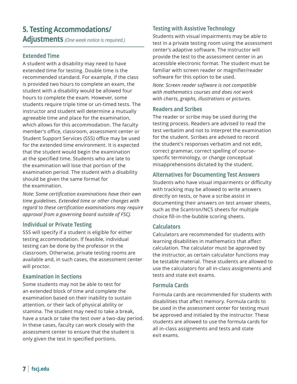## **5. Testing Accommodations/ Adjustments** *(One week notice is required.)*

#### **Extended Time**

A student with a disability may need to have extended time for testing. Double time is the recommended standard. For example, if the class is provided two hours to complete an exam, the student with a disability would be allowed four hours to complete the exam. However, some students require triple time or un-timed tests. The instructor and student will determine a mutually agreeable time and place for the examination, which allows for this accommodation. The faculty member's office, classroom, assessment center or Student Support Services (SSS) office may be used for the extended time environment. It is expected that the student would begin the examination at the specified time. Students who are late to the examination will lose that portion of the examination period. The student with a disability should be given the same format for the examination.

*Note: Some certification examinations have their own time guidelines. Extended time or other changes with regard to these certification examinations may require approval from a governing board outside of FSCJ.*

#### **Individual or Private Testing**

SSS will specify if a student is eligible for either testing accommodation. If feasible, individual testing can be done by the professor in the classroom. Otherwise, private testing rooms are available and, in such cases, the assessment center will proctor.

#### **Examination in Sections**

Some students may not be able to test for an extended block of time and complete the examination based on their inability to sustain attention, or their lack of physical ability or stamina. The student may need to take a break, have a snack or take the test over a two-day period. In these cases, faculty can work closely with the assessment center to ensure that the student is only given the test in specified portions.

#### **Testing with Assistive Technology**

Students with visual impairments may be able to test in a private testing room using the assessment center's adaptive software. The instructor will provide the test to the assessment center in an accessible electronic format. The student must be familiar with screen reader or magnifier/reader software for this option to be used.

*Note: Screen reader software is not compatible with mathematics courses and does not work with charts, graphs, illustrations or pictures.*

#### **Readers and Scribes**

The reader or scribe may be used during the testing process. Readers are advised to read the test verbatim and not to interpret the examination for the student. Scribes are advised to record the student's responses verbatim and not edit, correct grammar, correct spelling of coursespecific terminology, or change conceptual misapprehensions dictated by the student.

#### **Alternatives for Documenting Test Answers**

Students who have visual impairments or difficulty with tracking may be allowed to write answers directly on tests, or have a scribe assist in documenting their answers on test answer sheets, such as the Scantron/NCS sheets for multiple choice fill-in-the-bubble scoring sheets.

#### **Calculators**

Calculators are recommended for students with learning disabilities in mathematics that affect calculation. The calculator must be approved by the instructor, as certain calculator functions may be testable material. These students are allowed to use the calculators for all in-class assignments and tests and state exit exams.

#### **Formula Cards**

Formula cards are recommended for students with disabilities that affect memory. Formula cards to be used in the assessment center for testing must be approved and initialed by the instructor. These students are allowed to use the formula cards for all in-class assignments and tests and state exit exams.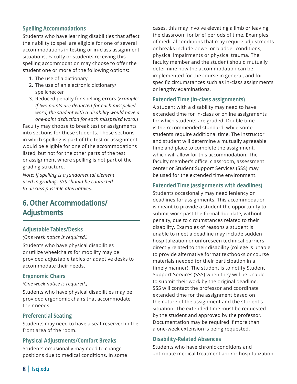#### **Spelling Accommodations**

Students who have learning disabilities that affect their ability to spell are eligible for one of several accommodations in testing or in-class assignment situations. Faculty or students receiving this spelling accommodation may choose to offer the student one or more of the following options:

- 1. The use of a dictionary
- 2. The use of an electronic dictionary/ spellchecker
- 3. Reduced penalty for spelling errors (*Example: If two points are deducted for each misspelled word, the student with a disability would have a one-point deduction for each misspelled word.*)

Faculty may choose to break test or assignments into sections for these students. Those sections in which spelling is part of the test or assignment would be eligible for one of the accommodations listed, but not for the other parts of the test or assignment where spelling is not part of the grading structure.

*Note: If spelling is a fundamental element used in grading, SSS should be contacted to discuss possible alternatives.*

## **6. Other Accommodations/ Adjustments**

#### **Adjustable Tables/Desks**

#### *(One week notice is required.)*

Students who have physical disabilities or utilize wheelchairs for mobility may be provided adjustable tables or adaptive desks to accommodate their needs.

#### **Ergonomic Chairs**

#### *(One week notice is required.)*

Students who have physical disabilities may be provided ergonomic chairs that accommodate their needs.

#### **Preferential Seating**

Students may need to have a seat reserved in the front area of the room.

#### **Physical Adjustments/Comfort Breaks**

Students occasionally may need to change positions due to medical conditions. In some cases, this may involve elevating a limb or leaving the classroom for brief periods of time. Examples of medical conditions that may require adjustments or breaks include bowel or bladder conditions, physical impairments or physical trauma. The faculty member and the student should mutually determine how the accommodation can be implemented for the course in general, and for specific circumstances such as in-class assignments or lengthy examinations.

#### **Extended Time (in-class assignments)**

A student with a disability may need to have extended time for in-class or online assignments for which students are graded. Double time is the recommended standard, while some students require additional time. The instructor and student will determine a mutually agreeable time and place to complete the assignment, which will allow for this accommodation. The faculty member's office, classroom, assessment center or Student Support Services (SSS) may be used for the extended time environment.

#### **Extended Time (assignments with deadlines)**

Students occasionally may need leniency on deadlines for assignments. This accommodation is meant to provide a student the opportunity to submit work past the formal due date, without penalty, due to circumstances related to their disability. Examples of reasons a student is unable to meet a deadline may include sudden hospitalization or unforeseen technical barriers directly related to their disability (college is unable to provide alternative format textbooks or course materials needed for their participation in a timely manner). The student is to notify Student Support Services (SSS) when they will be unable to submit their work by the original deadline. SSS will contact the professor and coordinate extended time for the assignment based on the nature of the assignment and the student's situation. The extended time must be requested by the student and approved by the professor. Documentation may be required if more than a one-week extension is being requested.

#### **Disability-Related Absences**

Students who have chronic conditions and anticipate medical treatment and/or hospitalization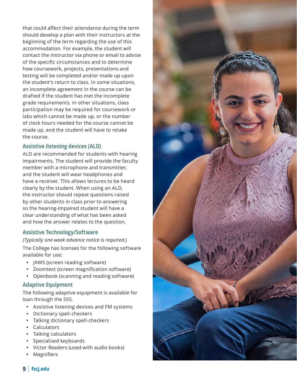that could affect their attendance during the term should develop a plan with their instructors at the beginning of the term regarding the use of this accommodation. For example, the student will contact the instructor via phone or email to advise of the specific circumstances and to determine how coursework, projects, presentations and testing will be completed and/or made up upon the student's return to class. In some situations, an incomplete agreement in the course can be drafted if the student has met the incomplete grade requirements. In other situations, class participation may be required for coursework or labs which cannot be made up, or the number of clock hours needed for the course cannot be made up, and the student will have to retake the course.

#### **Assistive listening devices (ALD)**

ALD are recommended for students with hearing impairments. The student will provide the faculty member with a microphone and transmitter, and the student will wear headphones and have a receiver. This allows lectures to be heard clearly by the student. When using an ALD, the instructor should repeat questions raised by other students in class prior to answering so the hearing-impaired student will have a clear understanding of what has been asked and how the answer relates to the question.

#### **Assistive Technology/Software**

*(Typically one week advance notice is required.)*  The College has licenses for the following software available for use:

- JAWS (screen reading software)
- Zoomtext (screen magnification software)
- Openbook (scanning and reading software)

#### **Adaptive Equipment**

The following adaptive equipment is available for loan through the SSS.

- Assistive listening devices and FM systems
- Dictionary spell-checkers
- Talking dictionary spell-checkers
- Calculators
- Talking calculators
- Specialized keyboards
- Victor Readers (used with audio books)
- Magnifiers



#### **9** | **[fscj.edu](http://www.fscj.edu)**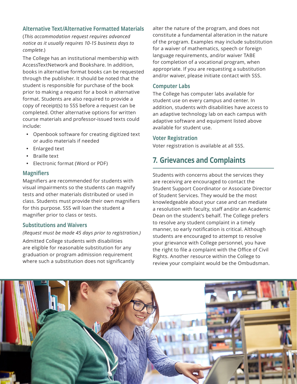#### **Alternative Text/Alternative Formatted Materials**

(*This accommodation request requires advanced notice as it usually requires 10-15 business days to complete.*)

The College has an institutional membership with AccessTextNetwork and Bookshare. In addition, books in alternative format books can be requested through the publisher. It should be noted that the student is responsible for purchase of the book prior to making a request for a book in alternative format. Students are also required to provide a copy of receipt(s) to SSS before a request can be completed. Other alternative options for written course materials and professor-issued texts could include:

- Openbook software for creating digitized text or audio materials if needed
- Enlarged text
- **Braille text**
- Electronic format (Word or PDF)

#### **Magnifiers**

Magnifiers are recommended for students with visual impairments so the students can magnify tests and other materials distributed or used in class. Students must provide their own magnifiers for this purpose. SSS will loan the student a magnifier prior to class or tests.

#### **Substitutions and Waivers**

#### *(Request must be made 45 days prior to registration.)*

Admitted College students with disabilities are eligible for reasonable substitution for any graduation or program admission requirement where such a substitution does not significantly alter the nature of the program, and does not constitute a fundamental alteration in the nature of the program. Examples may include substitution for a waiver of mathematics, speech or foreign language requirements, and/or waiver TABE for completion of a vocational program, when appropriate. If you are requesting a substitution and/or waiver, please initiate contact with SSS.

#### **Computer Labs**

The College has computer labs available for student use on every campus and center. In addition, students with disabilities have access to an adaptive technology lab on each campus with adaptive software and equipment listed above available for student use.

#### **Voter Registration**

Voter registration is available at all SSS.

## **7. Grievances and Complaints**

Students with concerns about the services they are receiving are encouraged to contact the Student Support Coordinator or Associate Director of Student Services. They would be the most knowledgeable about your case and can mediate a resolution with faculty, staff and/or an Academic Dean on the student's behalf. The College prefers to resolve any student complaint in a timely manner, so early notification is critical. Although students are encouraged to attempt to resolve your grievance with College personnel, you have the right to file a complaint with the Office of Civil Rights. Another resource within the College to review your complaint would be the Ombudsman.

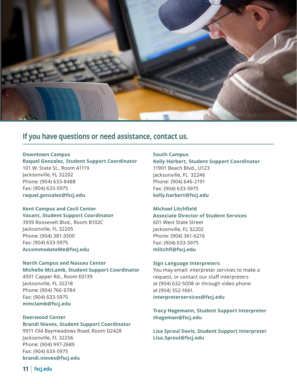

## **If you have questions or need assistance, contact us.**

#### **Downtown Campus Raquel Gonzalez, Student Support Coordinator** 101 W. State St., Room A1119 Jacksonville, FL 32202 Phone: (904) 633-8488 Fax: (904) 633-5975 **[raquel.gonzalez@fscj.edu](mailto:raquel.gonzalez%40fscj.edu?subject=)**

#### **Kent Campus and Cecil Center**

**Vacant, Student Support Coordinator** 3939 Roosevelt Blvd., Room B102C Jacksonville, FL 32205 Phone: (904) 381-3500 Fax: (904) 633-5975 **[AccommodateMe@fscj.edu](mailto:AccommodateMe%40fscj.edu?subject=)**

#### **North Campus and Nassau Center**

**Michelle McLamb, Student Support Coordinator** 4501 Capper Rd., Room E0139 Jacksonville, FL 32218 Phone: (904) 766-6784 Fax: (904) 633-5975 **[mmclamb@fscj.edu](mailto:mmclamb%40fscj.edu?subject=)**

#### **Deerwood Center**

**Brandi Nieves, Student Support Coordinator** 9911 Old Baymeadows Road, Room D2428 Jacksonville, FL 32256 Phone: (904) 997-2689 Fax: (904) 633-5975 **[brandi.nieves@fscj.edu](mailto:brandi.nieves%40fscj.edu?subject=)**

#### **South Campus Kelly Harbert, Student Support Coordinator** 11901 Beach Blvd., U123 Jacksonville, FL 32246 Phone: (904) 646-2191 Fax: (904) 633-5975 **[kelly.harbert@fscj.edu](mailto:kelly.harbert%40fscj.edu?subject=)**

#### **Michael Litchfield Associate Director of Student Services** 601 West State Street Jacksonville, FL 32202

Phone: (904) 361-6216 Fax: (904) 633-5975 **[mlitchfi@fscj.edu](mailto:mlitchfi%40fscj.edu?subject=)**

#### **Sign Language Interpreters**

You may email: interpreter services to make a request, or contact our staff interpreters at (904) 632-5008 or through video phone at (904) 352-1661. **[interpreterservices@fscj.edu](mailto:interpreterservices%40fscj.edu?subject=)**

#### **Tracy Hagemann, Student Support Interpreter [thageman@fscj.edu](mailto:thageman%40fscj.edu?subject=)**

**Lisa Sproul Davis, Student Support Interpreter [Lisa.Sproul@fscj.edu](mailto:Lisa.Sproul%40fscj.edu?subject=)**

**11** | **[fscj.edu](http://www.fscj.edu)**